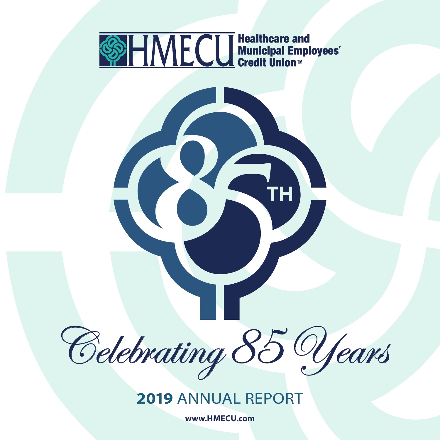



**www.HMECU.com**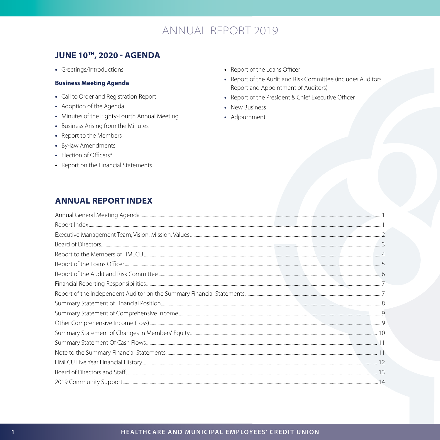## **JUNE 10TH, 2020 - AGENDA**

• Greetings/Introductions

#### **Business Meeting Agenda**

- Call to Order and Registration Report
- Adoption of the Agenda
- Minutes of the Eighty-Fourth Annual Meeting
- Business Arising from the Minutes
- Report to the Members
- By-law Amendments
- Election of Officers\*
- Report on the Financial Statements
- Report of the Loans Officer
- Report of the Audit and Risk Committee (includes Auditors' Report and Appointment of Auditors)
- Report of the President & Chief Executive Officer
- New Business
- Adjournment

## **ANNUAL REPORT INDEX**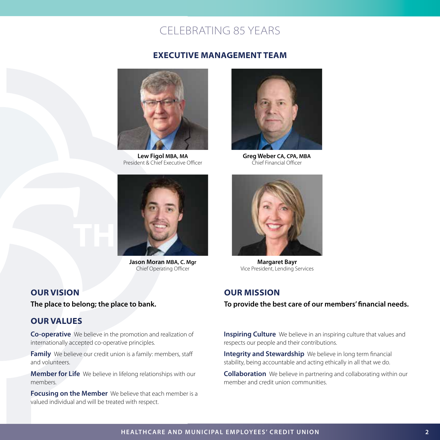#### **EXECUTIVE MANAGEMENT TEAM**



**Lew Figol MBA, MA** President & Chief Executive Officer



**Jason Moran MBA, C. Mgr** Chief Operating Officer

## **OUR VISION**

**The place to belong; the place to bank.**

## **OUR VALUES**

**Co-operative** We believe in the promotion and realization of internationally accepted co-operative principles.

**Family** We believe our credit union is a family: members, staff and volunteers.

**Member for Life** We believe in lifelong relationships with our members.

**Focusing on the Member** We believe that each member is a valued individual and will be treated with respect.



**Greg Weber CA, CPA, MBA** Chief Financial Officer



**Margaret Bayr** Vice President, Lending Services

#### **OUR MISSION**

**To provide the best care of our members' financial needs.**

**Inspiring Culture** We believe in an inspiring culture that values and respects our people and their contributions.

**Integrity and Stewardship** We believe in long term financial stability, being accountable and acting ethically in all that we do.

**Collaboration** We believe in partnering and collaborating within our member and credit union communities.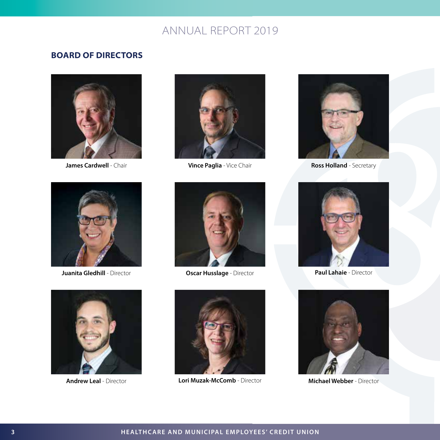## **BOARD OF DIRECTORS**





**Vince Paglia** - Vice Chair **James Cardwell** - Chair **Ross Holland** - Chair **Ross Holland** - Secretary





**Juanita Gledhill** - Director **Case Access Contracts Oscar Husslage** - Director







**Andrew Leal** - Director **Michael Webber** - Director **Lori Muzak-McComb** - Director



**Paul Lahaie** - Director

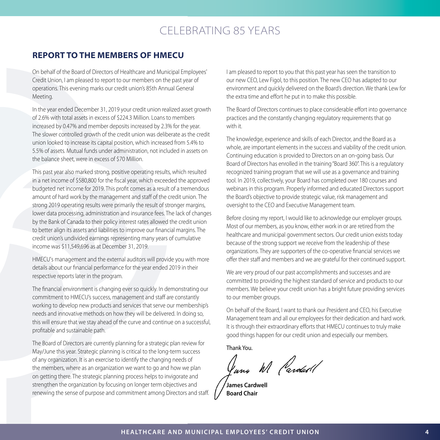#### **REPORT TO THE MEMBERS OF HMECU**

On behalf of the Board of Directors of Healthcare and Municipal Employees' Credit Union, I am pleased to report to our members on the past year of operations. This evening marks our credit union's 85th Annual General Meeting.

In the year ended December 31, 2019 your credit union realized asset growth of 2.6% with total assets in excess of \$224.3 Million. Loans to members increased by 0.47% and member deposits increased by 2.3% for the year. The slower controlled growth of the credit union was deliberate as the credit union looked to increase its capital position, which increased from 5.4% to 5.5% of assets. Mutual funds under administration, not included in assets on the balance sheet, were in excess of \$70 Million.

This past year also marked strong, positive operating results, which resulted in a net income of \$580,800 for the fiscal year, which exceeded the approved budgeted net income for 2019. This profit comes as a result of a tremendous amount of hard work by the management and staff of the credit union. The strong 2019 operating results were primarily the result of stronger margins, lower data processing, administration and insurance fees. The lack of changes by the Bank of Canada to their policy interest rates allowed the credit union to better align its assets and liabilities to improve our financial margins. The credit union's undivided earnings representing many years of cumulative income was \$11,549,696 as at December 31, 2019.

HMECU's management and the external auditors will provide you with more details about our financial performance for the year ended 2019 in their respective reports later in the program.

The financial environment is changing ever so quickly. In demonstrating our commitment to HMECU's success, management and staff are constantly working to develop new products and services that serve our membership's needs and innovative methods on how they will be delivered. In doing so, this will ensure that we stay ahead of the curve and continue on a successful, profitable and sustainable path.

The Board of Directors are currently planning for a strategic plan review for May/June this year. Strategic planning is critical to the long-term success of any organization. It is an exercise to identify the changing needs of the members, where as an organization we want to go and how we plan on getting there. The strategic planning process helps to invigorate and strengthen the organization by focusing on longer term objectives and renewing the sense of purpose and commitment among Directors and staff. I am pleased to report to you that this past year has seen the transition to our new CEO, Lew Figol, to this position. The new CEO has adapted to our environment and quickly delivered on the Board's direction. We thank Lew for the extra time and effort he put in to make this possible.

The Board of Directors continues to place considerable effort into governance practices and the constantly changing regulatory requirements that go with it.

The knowledge, experience and skills of each Director, and the Board as a whole, are important elements in the success and viability of the credit union. Continuing education is provided to Directors on an on-going basis. Our Board of Directors has enrolled in the training "Board 360". This is a regulatory recognized training program that we will use as a governance and training tool. In 2019, collectively, your Board has completed over 180 courses and webinars in this program. Properly informed and educated Directors support the Board's objective to provide strategic value, risk management and oversight to the CEO and Executive Management team.

Before closing my report, I would like to acknowledge our employer groups. Most of our members, as you know, either work in or are retired from the healthcare and municipal government sectors. Our credit union exists today because of the strong support we receive from the leadership of these organizations. They are supporters of the co-operative financial services we offer their staff and members and we are grateful for their continued support.

We are very proud of our past accomplishments and successes and are committed to providing the highest standard of service and products to our members. We believe your credit union has a bright future providing services to our member groups.

On behalf of the Board, I want to thank our President and CEO, his Executive Management team and all our employees for their dedication and hard work. It is through their extraordinary efforts that HMECU continues to truly make good things happen for our credit union and especially our members.

Thank You.

Juns W Pardad!

**James Cardwell Board Chair**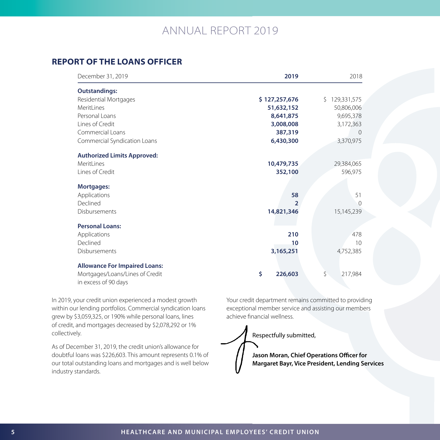## **REPORT OF THE LOANS OFFICER**

| December 31, 2019                                       | 2019          | 2018               |
|---------------------------------------------------------|---------------|--------------------|
| <b>Outstandings:</b>                                    |               |                    |
| Residential Mortgages                                   | \$127,257,676 | 129,331,575<br>\$. |
| MeritLines                                              | 51,632,152    | 50,806,006         |
| Personal Loans                                          | 8,641,875     | 9,695,378          |
| Lines of Credit                                         | 3,008,008     | 3,172,363          |
| Commercial Loans                                        | 387,319       | $\Omega$           |
| Commercial Syndication Loans                            | 6,430,300     | 3,370,975          |
| <b>Authorized Limits Approved:</b>                      |               |                    |
| MeritLines                                              | 10,479,735    | 29,384,065         |
| Lines of Credit                                         | 352,100       | 596,975            |
| Mortgages:                                              |               |                    |
| Applications                                            | 58            | 51                 |
| Declined                                                | 2             | ∩                  |
| Disbursements                                           | 14,821,346    | 15,145,239         |
| <b>Personal Loans:</b>                                  |               |                    |
| Applications                                            | 210           | 478                |
| Declined                                                | 10            | 10                 |
| Disbursements                                           | 3,165,251     | 4,752,385          |
| <b>Allowance For Impaired Loans:</b>                    |               |                    |
| Mortgages/Loans/Lines of Credit<br>in excess of 90 days | \$<br>226,603 | \$<br>217,984      |

In 2019, your credit union experienced a modest growth within our lending portfolios. Commercial syndication loans grew by \$3,059,325, or 190% while personal loans, lines of credit, and mortgages decreased by \$2,078,292 or 1% collectively.

As of December 31, 2019, the credit union's allowance for doubtful loans was \$226,603. This amount represents 0.1% of our total outstanding loans and mortgages and is well below industry standards.

Your credit department remains committed to providing exceptional member service and assisting our members achieve financial wellness.

Respectfully submitted,

**Jason Moran, Chief Operations Officer for Margaret Bayr, Vice President, Lending Services**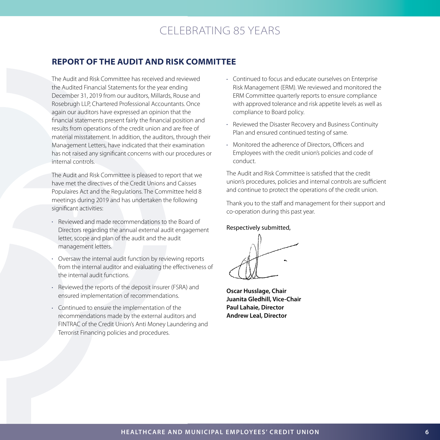## **REPORT OF THE AUDIT AND RISK COMMITTEE**

The Audit and Risk Committee has received and reviewed the Audited Financial Statements for the year ending December 31, 2019 from our auditors, Millards, Rouse and Rosebrugh LLP, Chartered Professional Accountants. Once again our auditors have expressed an opinion that the financial statements present fairly the financial position and results from operations of the credit union and are free of material misstatement. In addition, the auditors, through their Management Letters, have indicated that their examination has not raised any significant concerns with our procedures or internal controls.

The Audit and Risk Committee is pleased to report that we have met the directives of the Credit Unions and Caisses Populaires Act and the Regulations. The Committee held 8 meetings during 2019 and has undertaken the following significant activities:

- Reviewed and made recommendations to the Board of Directors regarding the annual external audit engagement letter, scope and plan of the audit and the audit management letters.
- Oversaw the internal audit function by reviewing reports from the internal auditor and evaluating the effectiveness of the internal audit functions.
- Reviewed the reports of the deposit insurer (FSRA) and ensured implementation of recommendations.
- Continued to ensure the implementation of the recommendations made by the external auditors and FINTRAC of the Credit Union's Anti Money Laundering and Terrorist Financing policies and procedures.
- Continued to focus and educate ourselves on Enterprise Risk Management (ERM). We reviewed and monitored the ERM Committee quarterly reports to ensure compliance with approved tolerance and risk appetite levels as well as compliance to Board policy.
- Reviewed the Disaster Recovery and Business Continuity Plan and ensured continued testing of same.
- Monitored the adherence of Directors, Officers and Employees with the credit union's policies and code of conduct.

The Audit and Risk Committee is satisfied that the credit union's procedures, policies and internal controls are sufficient and continue to protect the operations of the credit union.

Thank you to the staff and management for their support and co-operation during this past year.

#### Respectively submitted,

**Oscar Husslage, Chair Juanita Gledhill, Vice-Chair Paul Lahaie, Director Andrew Leal, Director**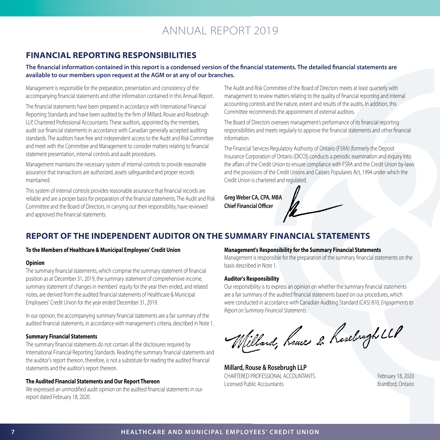## **FINANCIAL REPORTING RESPONSIBILITIES**

**The financial information contained in this report is a condensed version of the financial statements. The detailed financial statements are available to our members upon request at the AGM or at any of our branches.**

Management is responsible for the preparation, presentation and consistency of the accompanying financial statements and other information contained in this Annual Report.

The financial statements have been prepared in accordance with International Financial Reporting Standards and have been audited by the firm of Millard, Rouse and Rosebrugh LLP, Chartered Professional Accountants. These auditors, appointed by the members, audit our financial statements in accordance with Canadian generally accepted auditing standards. The auditors have free and independent access to the Audit and Risk Committee and meet with the Committee and Management to consider matters relating to financial statement presentation, internal controls and audit procedures.

Management maintains the necessary system of internal controls to provide reasonable assurance that transactions are authorized, assets safeguarded and proper records maintained.

This system of internal controls provides reasonable assurance that financial records are reliable and are a proper basis for preparation of the financial statements. The Audit and Risk Committee and the Board of Directors, in carrying out their responsibility, have reviewed and approved the financial statements.

The Audit and Risk Committee of the Board of Directors meets at least quarterly with management to review matters relating to the quality of financial reporting and internal accounting controls and the nature, extent and results of the audits. In addition, this Committee recommends the appointment of external auditors.

The Board of Directors oversees management's performance of its financial reporting responsibilities and meets regularly to approve the financial statements and other financial information.

The Financial Services Regulatory Authority of Ontario (FSRA) (formerly the Deposit Insurance Corporation of Ontario (DICO)) conducts a periodic examination and inquiry into the affairs of the Credit Union to ensure compliance with FSRA and the Credit Union by-laws and the provisions of the Credit Unions and Caisses Populaires Act, 1994 under which the Credit Union is chartered and regulated.

**Greg Weber CA, CPA, MBA Chief Financial Officer** 



#### **To the Members of Healthcare & Municipal Employees' Credit Union**

#### **Opinion**

The summary financial statements, which comprise the summary statement of financial position as at December 31, 2019, the summary statement of comprehensive income, summary statement of changes in members' equity for the year then ended, and related notes, are derived from the audited financial statements of Healthcare & Municipal Employees' Credit Union for the year ended December 31, 2019.

In our opinion, the accompanying summary financial statements are a fair summary of the audited financial statements, in accordance with management's criteria, described in Note 1.

#### **Summary Financial Statements**

The summary financial statements do not contain all the disclosures required by International Financial Reporting Standards. Reading the summary financial statements and the auditor's report thereon, therefore, is not a substitute for reading the audited financial statements and the auditor's report thereon.

#### **The Audited Financial Statements and Our Report Thereon**

We expressed an unmodified audit opinion on the audited financial statements in our report dated February 18, 2020.

#### **Management's Responsibility for the Summary Financial Statements**

Management is responsible for the preparation of the summary financial statements on the basis described in Note 1.

#### **Auditor's Responsibility**

Our responsibility is to express an opinion on whether the summary financial statements are a fair summary of the audited financial statements based on our procedures, which were conducted in accordance with Canadian Auditing Standard (CAS) 810, *Engagements to Report on Summary Financial Statements.*

Willard, heuse & hosebrygh LLP

**Millard, Rouse & Rosebrugh LLP** CHARTERED PROFESSIONAL ACCOUNTANTS February 18, 2020 Licensed Public Accountants and a state of the Brantford, Ontario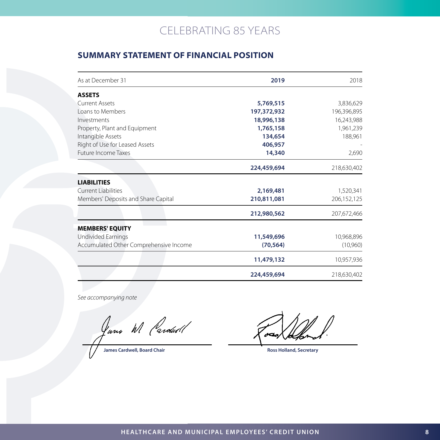## **SUMMARY STATEMENT OF FINANCIAL POSITION**

| As at December 31                      | 2019        | 2018        |
|----------------------------------------|-------------|-------------|
| <b>ASSETS</b>                          |             |             |
| <b>Current Assets</b>                  | 5,769,515   | 3,836,629   |
| Loans to Members                       | 197,372,932 | 196,396,895 |
| Investments                            | 18,996,138  | 16,243,988  |
| Property, Plant and Equipment          | 1,765,158   | 1,961,239   |
| Intangible Assets                      | 134,654     | 188,961     |
| Right of Use for Leased Assets         | 406,957     |             |
| <b>Future Income Taxes</b>             | 14,340      | 2,690       |
|                                        | 224,459,694 | 218,630,402 |
| <b>LIABILITIES</b>                     |             |             |
| <b>Current Liabilities</b>             | 2,169,481   | 1,520,341   |
| Members' Deposits and Share Capital    | 210,811,081 | 206,152,125 |
|                                        | 212,980,562 | 207,672,466 |
| <b>MEMBERS' EQUITY</b>                 |             |             |
| Undivided Earnings                     | 11,549,696  | 10,968,896  |
| Accumulated Other Comprehensive Income | (70, 564)   | (10,960)    |
|                                        | 11,479,132  | 10,957,936  |
|                                        | 224,459,694 | 218,630,402 |

*See accompanying note*

Jung W Pardud 1

**James Cardwell, Board Chair Ross Holland, Secretary Ross Holland, Secretary**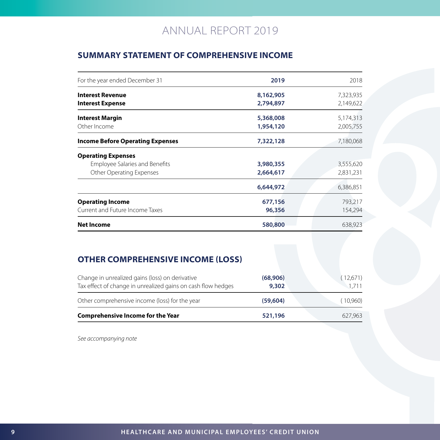## **SUMMARY STATEMENT OF COMPREHENSIVE INCOME**

| For the year ended December 31          | 2019      | 2018      |
|-----------------------------------------|-----------|-----------|
| <b>Interest Revenue</b>                 | 8,162,905 | 7,323,935 |
| <b>Interest Expense</b>                 | 2,794,897 | 2,149,622 |
| <b>Interest Margin</b>                  | 5,368,008 | 5,174,313 |
| Other Income                            | 1,954,120 | 2,005,755 |
| <b>Income Before Operating Expenses</b> | 7,322,128 | 7,180,068 |
| <b>Operating Expenses</b>               |           |           |
| <b>Employee Salaries and Benefits</b>   | 3,980,355 | 3,555,620 |
| Other Operating Expenses                | 2,664,617 | 2,831,231 |
|                                         | 6,644,972 | 6,386,851 |
| <b>Operating Income</b>                 | 677,156   | 793,217   |
| Current and Future Income Taxes         | 96,356    | 154,294   |
| <b>Net Income</b>                       | 580,800   | 638,923   |

## **OTHER COMPREHENSIVE INCOME (LOSS)**

| Comprehensive Income for the Year                                                                               | 521,196           | 627.963           |
|-----------------------------------------------------------------------------------------------------------------|-------------------|-------------------|
| Other comprehensive income (loss) for the year                                                                  | (59,604)          | (10.960)          |
| Change in unrealized gains (loss) on derivative<br>Tax effect of change in unrealized gains on cash flow hedges | (68,906)<br>9,302 | (12,671)<br>1.711 |

*See accompanying note*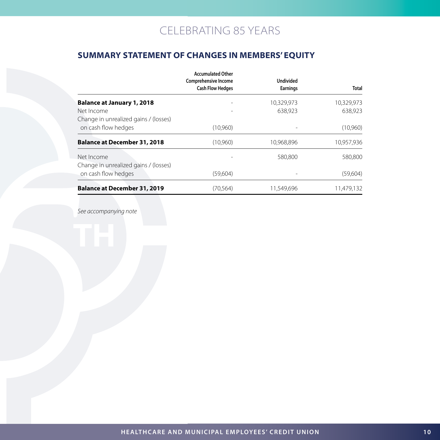## **SUMMARY STATEMENT OF CHANGES IN MEMBERS' EQUITY**

|                                       | <b>Accumulated Other</b><br><b>Comprehensive Income</b><br><b>Cash Flow Hedges</b> | <b>Undivided</b><br><b>Earnings</b> | Total      |
|---------------------------------------|------------------------------------------------------------------------------------|-------------------------------------|------------|
| <b>Balance at January 1, 2018</b>     |                                                                                    | 10,329,973                          | 10,329,973 |
| Net Income                            |                                                                                    | 638.923                             | 638,923    |
| Change in unrealized gains / (losses) |                                                                                    |                                     |            |
| on cash flow hedges                   | (10,960)                                                                           |                                     | (10,960)   |
| <b>Balance at December 31, 2018</b>   | (10,960)                                                                           | 10,968,896                          | 10,957,936 |
| Net Income                            |                                                                                    | 580,800                             | 580,800    |
| Change in unrealized gains / (losses) |                                                                                    |                                     |            |
| on cash flow hedges                   | (59,604)                                                                           |                                     | (59,604)   |
| <b>Balance at December 31, 2019</b>   | (70, 564)                                                                          | 11.549.696                          | 11,479,132 |

*See accompanying note*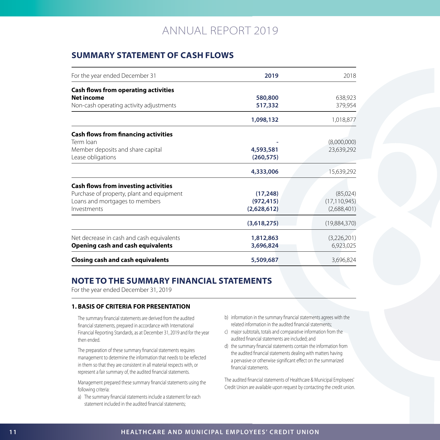## **SUMMARY STATEMENT OF CASH FLOWS**

| For the year ended December 31              | 2019        | 2018           |
|---------------------------------------------|-------------|----------------|
| <b>Cash flows from operating activities</b> |             |                |
| Net income                                  | 580,800     | 638,923        |
| Non-cash operating activity adjustments     | 517,332     | 379,954        |
|                                             | 1,098,132   | 1,018,877      |
| <b>Cash flows from financing activities</b> |             |                |
| Term Ioan                                   |             | (8,000,000)    |
| Member deposits and share capital           | 4,593,581   | 23,639,292     |
| Lease obligations                           | (260, 575)  |                |
|                                             | 4,333,006   | 15,639,292     |
| <b>Cash flows from investing activities</b> |             |                |
| Purchase of property, plant and equipment   | (17, 248)   | (85,024)       |
| Loans and mortgages to members              | (972, 415)  | (17, 110, 945) |
| Investments                                 | (2,628,612) | (2,688,401)    |
|                                             | (3,618,275) | (19,884,370)   |
| Net decrease in cash and cash equivalents   | 1,812,863   | (3,226,201)    |
| <b>Opening cash and cash equivalents</b>    | 3,696,824   | 6,923,025      |
| <b>Closing cash and cash equivalents</b>    | 5,509,687   | 3.696.824      |

## **NOTE TO THE SUMMARY FINANCIAL STATEMENTS**

For the year ended December 31, 2019

#### **1. BASIS OF CRITERIA FOR PRESENTATION**

The summary financial statements are derived from the audited financial statements, prepared in accordance with International Financial Reporting Standards, as at December 31, 2019 and for the year then ended.

The preparation of these summary financial statements requires management to determine the information that needs to be reflected in them so that they are consistent in all material respects with, or represent a fair summary of, the audited financial statements.

Management prepared these summary financial statements using the following criteria:

a) The summary financial statements include a statement for each statement included in the audited financial statements;

- b) information in the summary financial statements agrees with the related information in the audited financial statements;
- c) major subtotals, totals and comparative information from the audited financial statements are included; and
- d) the summary financial statements contain the information from the audited financial statements dealing with matters having a pervasive or otherwise significant effect on the summarized financial statements.

The audited financial statements of Healthcare & Municipal Employees' Credit Union are available upon request by contacting the credit union.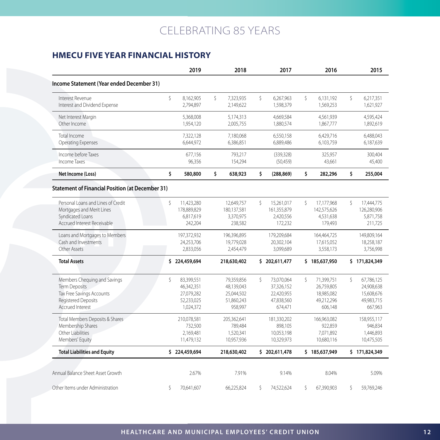## **HMECU FIVE YEAR FINANCIAL HISTORY**

|                                                                                                                                     |    | 2019                                                              |             | 2018                                                            |    | 2017                                                            |    | 2016                                                            |    | 2015                                                            |
|-------------------------------------------------------------------------------------------------------------------------------------|----|-------------------------------------------------------------------|-------------|-----------------------------------------------------------------|----|-----------------------------------------------------------------|----|-----------------------------------------------------------------|----|-----------------------------------------------------------------|
| Income Statement (Year ended December 31)                                                                                           |    |                                                                   |             |                                                                 |    |                                                                 |    |                                                                 |    |                                                                 |
| Interest Revenue<br>Interest and Dividend Expense                                                                                   | Ŝ. | 8,162,905<br>2,794,897                                            | Ŝ.          | 7,323,935<br>2,149,622                                          | \$ | 6,267,963<br>1,598,379                                          | Ŝ. | 6,131,192<br>1,569,253                                          | Ŝ. | 6,217,351<br>1,621,927                                          |
| Net Interest Margin<br>Other Income                                                                                                 |    | 5,368,008<br>1,954,120                                            |             | 5,174,313<br>2,005,755                                          |    | 4,669,584<br>1,880,574                                          |    | 4,561,939<br>1,867,777                                          |    | 4,595,424<br>1,892,619                                          |
| Total Income<br>Operating Expenses                                                                                                  |    | 7,322,128<br>6,644,972                                            |             | 7,180,068<br>6,386,851                                          |    | 6,550,158<br>6,889,486                                          |    | 6,429,716<br>6,103,759                                          |    | 6,488,043<br>6,187,639                                          |
| Income before Taxes<br>Income Taxes                                                                                                 |    | 677,156<br>96,356                                                 |             | 793,217<br>154,294                                              |    | (339, 328)<br>(50, 459)                                         |    | 325,957<br>43,661                                               |    | 300,404<br>45,400                                               |
| Net Income (Loss)                                                                                                                   | \$ | 580,800                                                           | \$          | 638,923                                                         | \$ | (288, 869)                                                      | \$ | 282,296                                                         | \$ | 255,004                                                         |
| <b>Statement of Financial Position (at December 31)</b>                                                                             |    |                                                                   |             |                                                                 |    |                                                                 |    |                                                                 |    |                                                                 |
| Personal Loans and Lines of Credit<br>Mortgages and Merit Lines<br>Syndicated Loans<br>Accrued Interest Receivable                  | Ŝ  | 11,423,280<br>178,889,829<br>6,817,619<br>242,204                 |             | 12,649,757<br>180,137,581<br>3,370,975<br>238,582               | Ŝ. | 15,261,017<br>161,355,879<br>2,420,556<br>172,232               | Ŝ. | 17,177,968<br>142,575,626<br>4,531,638<br>179,493               | Ŝ  | 17,444,775<br>126,280,906<br>5,871,758<br>211,725               |
| Loans and Mortgages to Members<br>Cash and Investments<br>Other Assets                                                              |    | 197,372,932<br>24,253,706<br>2,833,056                            |             | 196,396,895<br>19,779,028<br>2,454,479                          |    | 179,209,684<br>20,302,104<br>3,099,689                          |    | 164,464,725<br>17,615,052<br>3,558,173                          |    | 149,809,164<br>18,258,187<br>3,756,998                          |
| <b>Total Assets</b>                                                                                                                 |    | \$224,459,694                                                     | 218,630,402 |                                                                 |    | \$202,611,477                                                   |    | \$185,637,950                                                   |    | \$171,824,349                                                   |
| Members Chequing and Savings<br><b>Term Deposits</b><br>Tax Free Savings Accounts<br>Registered Deposits<br><b>Accrued Interest</b> | \$ | 83,399,551<br>46.342.351<br>27,079,282<br>52,233,025<br>1,024,372 |             | 79,359,856<br>48,139,043<br>25,044,502<br>51,860,243<br>958,997 | Ŝ. | 73,070,064<br>37,326,152<br>22,420,955<br>47,838,560<br>674,471 | Ŝ. | 71,399,751<br>26.759.805<br>18,985,082<br>49,212,296<br>606,148 | Ŝ. | 67,786,125<br>24,908,638<br>15,608,676<br>49,983,715<br>667,963 |
| Total Members Deposits & Shares<br>Membership Shares<br>Other Liabilities<br>Members' Equity                                        |    | 210,078,581<br>732,500<br>2,169,481<br>11,479,132                 |             | 205,362,641<br>789,484<br>1,520,341<br>10,957,936               |    | 181,330,202<br>898,105<br>10,053,198<br>10,329,973              |    | 166,963,082<br>922,859<br>7,071,892<br>10,680,116               |    | 158,955,117<br>946,834<br>1,446,893<br>10,475,505               |
| <b>Total Liabilities and Equity</b>                                                                                                 |    | \$224,459,694                                                     |             | 218,630,402                                                     |    | \$202,611,478                                                   |    | \$185,637,949                                                   |    | \$171,824,349                                                   |
| Annual Balance Sheet Asset Growth                                                                                                   |    | 2.67%                                                             |             | 7.91%                                                           |    | 9.14%                                                           |    | 8.04%                                                           |    | 5.09%                                                           |
| Other Items under Administration                                                                                                    | Ŝ  | 70,641,607                                                        |             | 66,225,824                                                      | Ŝ. | 74,522,624                                                      | Ŝ  | 67,390,903                                                      | Ŝ. | 59,769,246                                                      |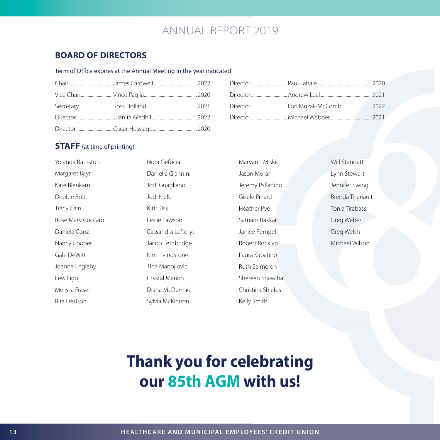## **BOARD OF DIRECTORS**

#### Term of Office expires at the Annual Meeting in the year indicated

## **STAFF** (at time of printing)

| Yolanda Battiston | Nora Gefucia       |
|-------------------|--------------------|
| Margaret Bayr     | Daniella Giannini  |
| Kate Blenkarn     | Jodi Guagliano     |
| Debbie Bolt       | Jodi Kielb         |
| Tracy Cain        | Kitti Kiss         |
| Rose Mary Coccaro | Leslie Lawson      |
| Daniela Conz      | Cassandra Lefterys |
| Nancy Cooper      | Jacob Lethbridge   |
| Gale DeWitt       | Kim Livingstone    |
| Joanne Engleby    | Tina Manojlovic    |
| Lew Figol         | Crystal Marion     |
| Melissa Fraser    | Diana McDermid     |
| Rita Fredson      | Sylvia McKinnon    |

| Maryann Miskic    |
|-------------------|
| Jason Moran       |
| Jeremy Palladino  |
| Gisele Pinard     |
| Heather Pye       |
| Satnam Rakkar     |
| Janice Rempel     |
| Robert Rocklyn    |
| Laura Sabatino    |
| Ruth Salmeron     |
| Shereen Shawihat  |
| Christina Shields |
| Kelly Smith       |

Will Stennett Lynn Stewart Jennifer Swing Brenda Theriault Tonia Tirabassi Greg Weber Greg Welsh Michael Wilson

# **Thank you for celebrating our 85th AGM with us!**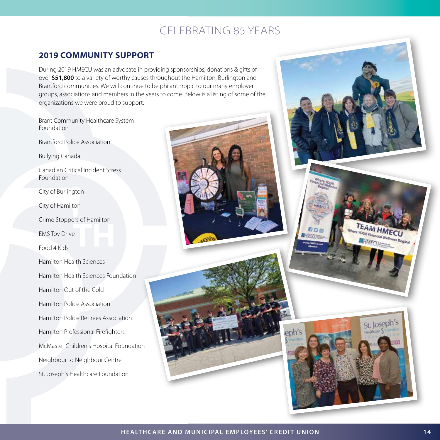## **2019 COMMUNITY SUPPORT**

During 2019 HMECU was an advocate in providing sponsorships, donations & gifts of over **\$51,800** to a variety of worthy causes throughout the Hamilton, Burlington and Brantford communities. We will continue to be philanthropic to our many employer groups, associations and members in the years to come. Below is a listing of some of the organizations we were proud to support.

Brant Community Healthcare System Foundation Brantford Police Association Bullying Canada Canadian Critical Incident Stress Foundation City of Burlington City of Hamilton Crime Stoppers of Hamilton EMS Toy Drive Food 4 Kids Hamilton Health Sciences Hamilton Health Sciences Foundation Hamilton Out of the Cold Hamilton Police Association Hamilton Police Retirees Association Hamilton Professional Firefighters McMaster Children's Hospital Foundation Neighbour to Neighbour Centre St. Joseph's Healthcare Foundation